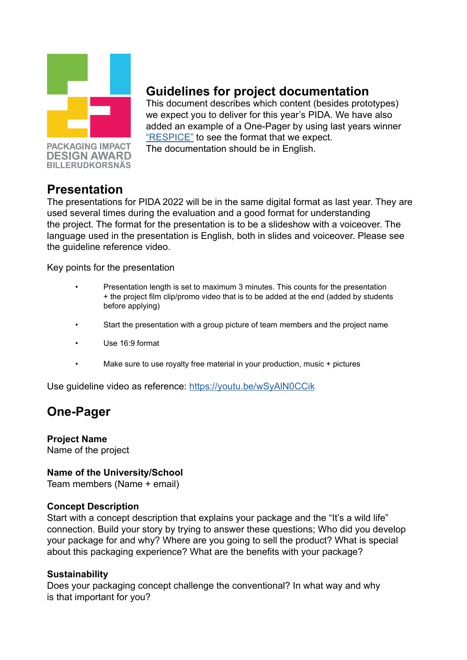

**PACKAGING IMPACT DESIGN AWARD BILLERUDKORSNÄS** 

# **Guidelines for project documentation**

This document describes which content (besides prototypes) we expect you to deliver for this year's PIDA. We have also added an example of a One-Pager by using last years winner ["RESPICE"](https://www.billerudkorsnas.com/globalassets/pida/brief/2022/onepager-pida-romane-jeanne-marion.pdf) to see the format that we expect. The documentation should be in English.

## **Presentation**

The presentations for PIDA 2022 will be in the same digital format as last year. They are used several times during the evaluation and a good format for understanding the project. The format for the presentation is to be a slideshow with a voiceover. The language used in the presentation is English, both in slides and voiceover. Please see the guideline reference video.

Key points for the presentation

- Presentation length is set to maximum 3 minutes. This counts for the presentation + the project film clip/promo video that is to be added at the end (added by students before applying)
- Start the presentation with a group picture of team members and the project name
- Use 16:9 format
- Make sure to use royalty free material in your production, music + pictures

Use guideline video as reference: [https://youtu.be/wSyAlN0CCik](https://youtu.be/wSyAlN0CCik )

## **One-Pager**

**Project Name** Name of the project

### **Name of the University/School**

Team members (Name + email)

### **Concept Description**

Start with a concept description that explains your package and the "It's a wild life" connection. Build your story by trying to answer these questions; Who did you develop your package for and why? Where are you going to sell the product? What is special about this packaging experience? What are the benefits with your package?

#### **Sustainability**

Does your packaging concept challenge the conventional? In what way and why is that important for you?